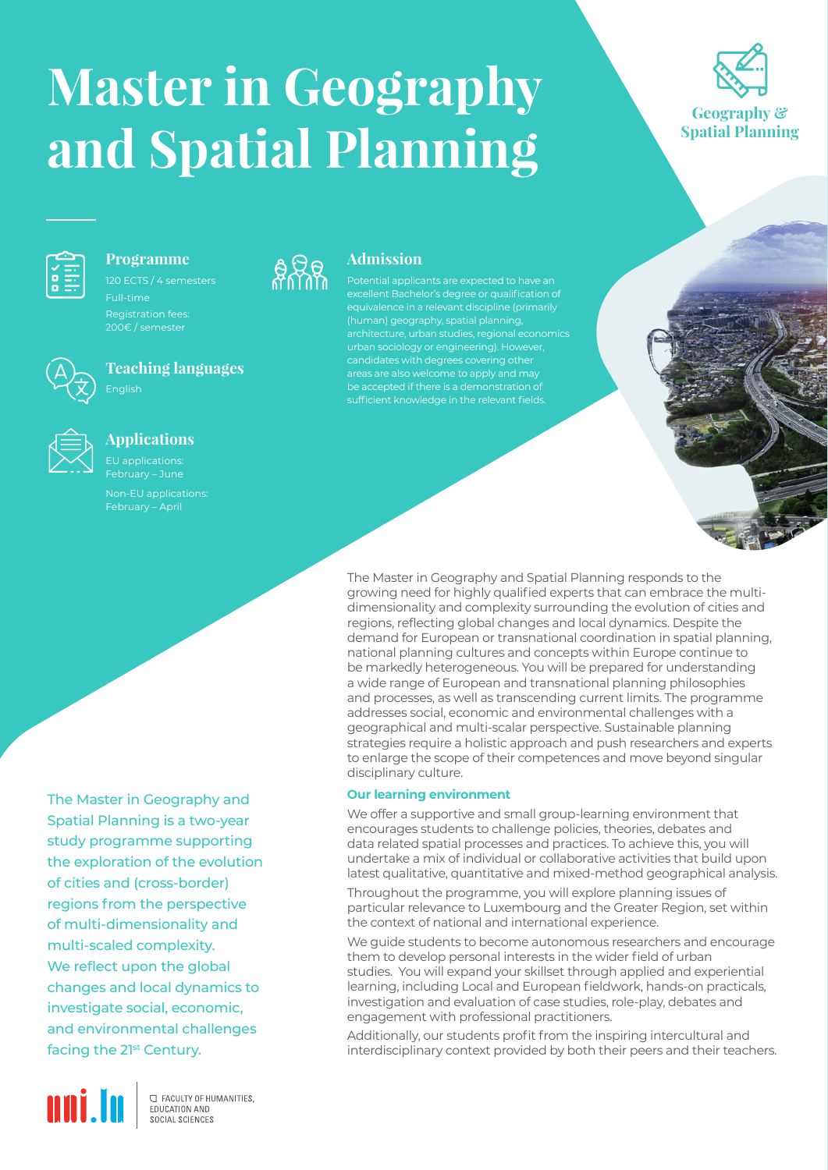# **Master in Geography and Spatial Planning**





#### **Programme**

Full-time



## **Teaching languages**



### **Applications**



EU applications:

The Master in Geography and Spatial Planning is a two-year study programme supporting the exploration of the evolution of cities and (cross-border) regions from the perspective of multi-dimensionality and multi-scaled complexity. We reflect upon the global changes and local dynamics to investigate social, economic, and environmental challenges facing the 21<sup>st</sup> Century.



**C FACULTY OF HUMANITIES.** EDUCATION AND SOCIAL SCIENCES



## **Admission**

Potential applicants are expected to have an urban sociology or engineering). However, areas are also welcome to apply and may sufficient knowledge in the relevant fields.

The Master in Geography and Spatial Planning responds to the growing need for highly qualified experts that can embrace the multidimensionality and complexity surrounding the evolution of cities and regions, reflecting global changes and local dynamics. Despite the demand for European or transnational coordination in spatial planning, national planning cultures and concepts within Europe continue to be markedly heterogeneous. You will be prepared for understanding a wide range of European and transnational planning philosophies and processes, as well as transcending current limits. The programme addresses social, economic and environmental challenges with a geographical and multi-scalar perspective. Sustainable planning strategies require a holistic approach and push researchers and experts to enlarge the scope of their competences and move beyond singular disciplinary culture.

#### **Our learning environment**

We offer a supportive and small group-learning environment that encourages students to challenge policies, theories, debates and data related spatial processes and practices. To achieve this, you will undertake a mix of individual or collaborative activities that build upon latest qualitative, quantitative and mixed-method geographical analysis.

Throughout the programme, you will explore planning issues of particular relevance to Luxembourg and the Greater Region, set within the context of national and international experience.

We guide students to become autonomous researchers and encourage them to develop personal interests in the wider field of urban studies. You will expand your skillset through applied and experiential learning, including Local and European fieldwork, hands-on practicals, investigation and evaluation of case studies, role-play, debates and engagement with professional practitioners.

Additionally, our students profit from the inspiring intercultural and interdisciplinary context provided by both their peers and their teachers.